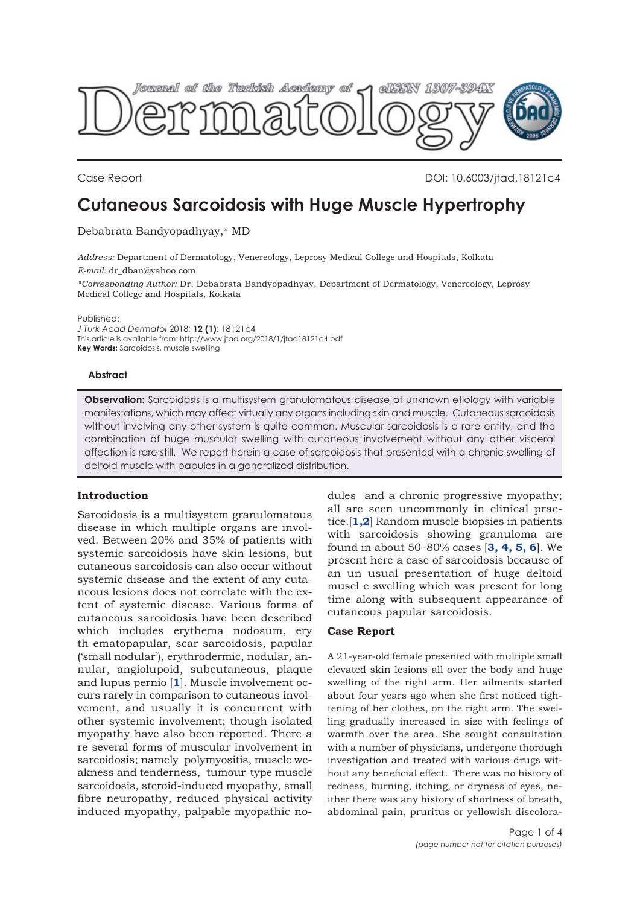

Case Report DOI: 10.6003/jtad.18121c4

# **Cutaneous Sarcoidosis with Huge Muscle Hypertrophy**

Debabrata Bandyopadhyay,\* MD

*Address:* Department of Dermatology, Venereology, Leprosy Medical College and Hospitals, Kolkata *E-mail:* dr\_dban@yahoo.com

*\*Corresponding Author:* Dr. Debabrata Bandyopadhyay, Department of Dermatology, Venereology, Leprosy Medical College and Hospitals, Kolkata

Published:

*J Turk Acad Dermatol* 2018; **12 (1)**: 18121c4 This article is available from: http://www.jtad.org/2018/1/jtad18121c4.pdf **Key Words:** Sarcoidosis, muscle swelling

### **Abstract**

**Observation:** Sarcoidosis is a multisystem granulomatous disease of unknown etiology with variable manifestations, which may affect virtually any organs including skin and muscle. Cutaneous sarcoidosis without involving any other system is quite common. Muscular sarcoidosis is a rare entity, and the combination of huge muscular swelling with cutaneous involvement without any other visceral affection is rare still. We report herein a case of sarcoidosis that presented with a chronic swelling of deltoid muscle with papules in a generalized distribution.

# **Introduction**

Sarcoidosis is a multisystem granulomatous disease in which multiple organs are involved. Between 20% and 35% of patients with systemic sarcoidosis have skin lesions, but cutaneous sarcoidosis can also occur without systemic disease and the extent of any cutaneous lesions does not correlate with the extent of systemic disease. Various forms of cutaneous sarcoidosis have been described which includes erythema nodosum, ery th ematopapular, scar sarcoidosis, papular ('small nodular'), erythrodermic, nodular, annular, angiolupoid, subcutaneous, plaque and lupus pernio [**[1](#page-2-0)**]. Muscle involvement occurs rarely in comparison to cutaneous involvement, and usually it is concurrent with other systemic involvement; though isolated myopathy have also been reported. There a re several forms of muscular involvement in sarcoidosis; namely polymyositis, muscle weakness and tenderness, tumour-type muscle sarcoidosis, steroid-induced myopathy, small fibre neuropathy, reduced physical activity induced myopathy, palpable myopathic nodules and a chronic progressive myopathy; all are seen uncommonly in clinical practice.[**[1](#page-2-0),[2](#page-2-0)**] Random muscle biopsies in patients with sarcoidosis showing granuloma are found in about 50–80% cases [**[3](#page-3-0), [4](#page-3-0), [5](#page-3-0), [6](#page-3-0)**]. We present here a case of sarcoidosis because of an un usual presentation of huge deltoid muscl e swelling which was present for long time along with subsequent appearance of cutaneous papular sarcoidosis.

# **Case Report**

A 21-year-old female presented with multiple small elevated skin lesions all over the body and huge swelling of the right arm. Her ailments started about four years ago when she first noticed tightening of her clothes, on the right arm. The swelling gradually increased in size with feelings of warmth over the area. She sought consultation with a number of physicians, undergone thorough investigation and treated with various drugs without any beneficial effect. There was no history of redness, burning, itching, or dryness of eyes, neither there was any history of shortness of breath, abdominal pain, pruritus or yellowish discolora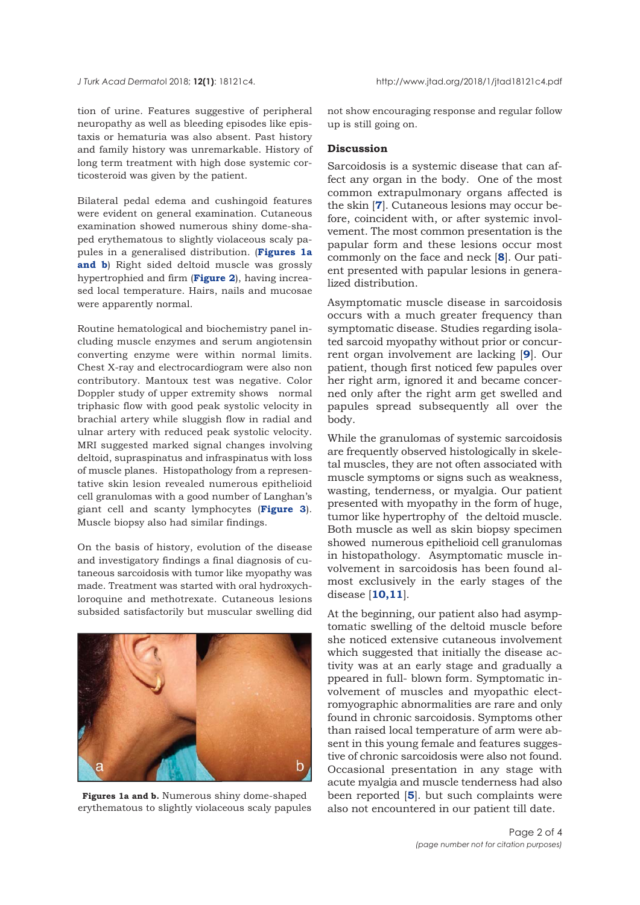tion of urine. Features suggestive of peripheral neuropathy as well as bleeding episodes like epistaxis or hematuria was also absent. Past history and family history was unremarkable. History of long term treatment with high dose systemic corticosteroid was given by the patient.

Bilateral pedal edema and cushingoid features were evident on general examination. Cutaneous examination showed numerous shiny dome-shaped erythematous to slightly violaceous scaly papules in a generalised distribution. (**Figures 1a and b**) Right sided deltoid muscle was grossly hypertrophied and firm (**[Figure 2](#page-2-0)**), having increased local temperature. Hairs, nails and mucosae were apparently normal.

Routine hematological and biochemistry panel including muscle enzymes and serum angiotensin converting enzyme were within normal limits. Chest X-ray and electrocardiogram were also non contributory. Mantoux test was negative. Color Doppler study of upper extremity shows normal triphasic flow with good peak systolic velocity in brachial artery while sluggish flow in radial and ulnar artery with reduced peak systolic velocity. MRI suggested marked signal changes involving deltoid, supraspinatus and infraspinatus with loss of muscle planes. Histopathology from a representative skin lesion revealed numerous epithelioid cell granulomas with a good number of Langhan's giant cell and scanty lymphocytes (**[Figure 3](#page-2-0)**). Muscle biopsy also had similar findings.

On the basis of history, evolution of the disease and investigatory findings a final diagnosis of cutaneous sarcoidosis with tumor like myopathy was made. Treatment was started with oral hydroxychloroquine and methotrexate. Cutaneous lesions subsided satisfactorily but muscular swelling did



**Figures 1a and b.** Numerous shiny dome-shaped erythematous to slightly violaceous scaly papules

not show encouraging response and regular follow up is still going on.

### **Discussion**

Sarcoidosis is a systemic disease that can affect any organ in the body. One of the most common extrapulmonary organs affected is the skin [**[7](#page-3-0)**]. Cutaneous lesions may occur before, coincident with, or after systemic involvement. The most common presentation is the papular form and these lesions occur most commonly on the face and neck [**[8](#page-3-0)**]. Our patient presented with papular lesions in generalized distribution.

Asymptomatic muscle disease in sarcoidosis occurs with a much greater frequency than symptomatic disease. Studies regarding isolated sarcoid myopathy without prior or concurrent organ involvement are lacking [**[9](#page-3-0)**]. Our patient, though first noticed few papules over her right arm, ignored it and became concerned only after the right arm get swelled and papules spread subsequently all over the body.

While the granulomas of systemic sarcoidosis are frequently observed histologically in skeletal muscles, they are not often associated with muscle symptoms or signs such as weakness, wasting, tenderness, or myalgia. Our patient presented with myopathy in the form of huge, tumor like hypertrophy of the deltoid muscle. Both muscle as well as skin biopsy specimen showed numerous epithelioid cell granulomas in histopathology. Asymptomatic muscle involvement in sarcoidosis has been found almost exclusively in the early stages of the disease [**[10,11](#page-3-0)**].

At the beginning, our patient also had asymptomatic swelling of the deltoid muscle before she noticed extensive cutaneous involvement which suggested that initially the disease activity was at an early stage and gradually a ppeared in full- blown form. Symptomatic involvement of muscles and myopathic electromyographic abnormalities are rare and only found in chronic sarcoidosis. Symptoms other than raised local temperature of arm were absent in this young female and features suggestive of chronic sarcoidosis were also not found. Occasional presentation in any stage with acute myalgia and muscle tenderness had also been reported [**[5](#page-3-0)**]. but such complaints were also not encountered in our patient till date.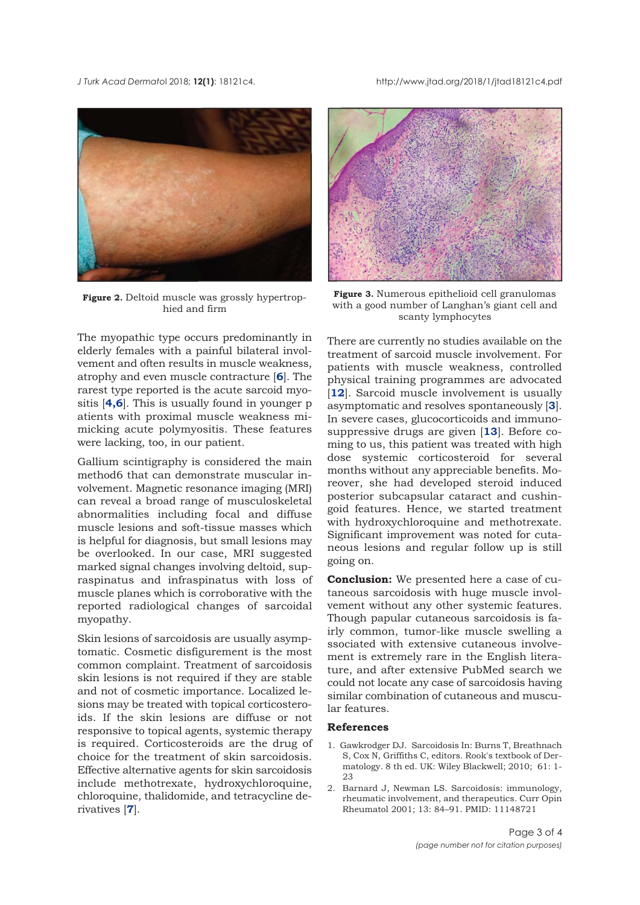<span id="page-2-0"></span>*J Turk Acad Dermato*l 2018; **12(1)**: 18121c4. http://www.jtad.org/2018/1/jtad18121c4.pdf



**Figure 2.** Deltoid muscle was grossly hypertrophied and firm

The myopathic type occurs predominantly in elderly females with a painful bilateral involvement and often results in muscle weakness, atrophy and even muscle contracture [**[6](#page-3-0)**]. The rarest type reported is the acute sarcoid myositis [**[4,6](#page-3-0)**]. This is usually found in younger p atients with proximal muscle weakness mimicking acute polymyositis. These features were lacking, too, in our patient.

Gallium scintigraphy is considered the main method6 that can demonstrate muscular involvement. Magnetic resonance imaging (MRI) can reveal a broad range of musculoskeletal abnormalities including focal and diffuse muscle lesions and soft-tissue masses which is helpful for diagnosis, but small lesions may be overlooked. In our case, MRI suggested marked signal changes involving deltoid, supraspinatus and infraspinatus with loss of muscle planes which is corroborative with the reported radiological changes of sarcoidal myopathy.

Skin lesions of sarcoidosis are usually asymptomatic. Cosmetic disfigurement is the most common complaint. Treatment of sarcoidosis skin lesions is not required if they are stable and not of cosmetic importance. Localized lesions may be treated with topical corticosteroids. If the skin lesions are diffuse or not responsive to topical agents, systemic therapy is required. Corticosteroids are the drug of choice for the treatment of skin sarcoidosis. Effective alternative agents for skin sarcoidosis include methotrexate, hydroxychloroquine, chloroquine, thalidomide, and tetracycline derivatives [**[7](#page-3-0)**].



**Figure 3.** Numerous epithelioid cell granulomas with a good number of Langhan's giant cell and scanty lymphocytes

There are currently no studies available on the treatment of sarcoid muscle involvement. For patients with muscle weakness, controlled physical training programmes are advocated [[12](#page-3-0)]. Sarcoid muscle involvement is usually asymptomatic and resolves spontaneously [**[3](#page-3-0)**]. In severe cases, glucocorticoids and immunosuppressive drugs are given [**[13](#page-3-0)**]. Before coming to us, this patient was treated with high dose systemic corticosteroid for several months without any appreciable benefits. Moreover, she had developed steroid induced posterior subcapsular cataract and cushingoid features. Hence, we started treatment with hydroxychloroquine and methotrexate. Significant improvement was noted for cutaneous lesions and regular follow up is still going on.

**Conclusion:** We presented here a case of cutaneous sarcoidosis with huge muscle involvement without any other systemic features. Though papular cutaneous sarcoidosis is fairly common, tumor-like muscle swelling a ssociated with extensive cutaneous involvement is extremely rare in the English literature, and after extensive PubMed search we could not locate any case of sarcoidosis having similar combination of cutaneous and muscular features.

#### **References**

- 1. Gawkrodger DJ. Sarcoidosis In: Burns T, Breathnach S, Cox N, Griffiths C, editors. Rook's textbook of Dermatology. 8 th ed. UK: Wiley Blackwell; 2010; 61: 1-  $23$
- 2. Barnard J, Newman LS. Sarcoidosis: immunology, rheumatic involvement, and therapeutics. Curr Opin Rheumatol 2001; 13: 84–91. PMID: 11148721